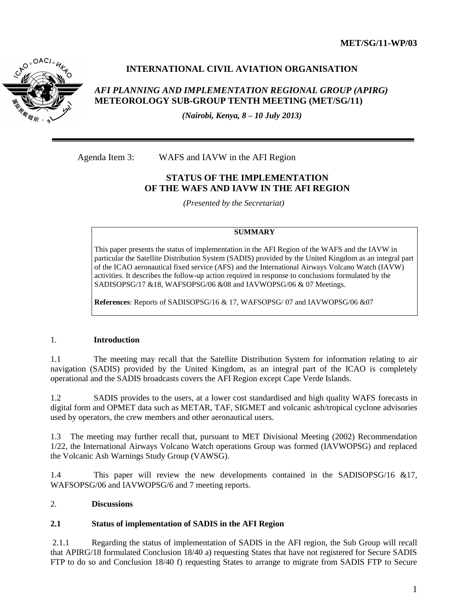**MET/SG/11-WP/03**



# **INTERNATIONAL CIVIL AVIATION ORGANISATION**

## *AFI PLANNING AND IMPLEMENTATION REGIONAL GROUP (APIRG)* **METEOROLOGY SUB-GROUP TENTH MEETING (MET/SG/11)**

*(Nairobi, Kenya, 8 – 10 July 2013)*

Agenda Item 3: WAFS and IAVW in the AFI Region

## **STATUS OF THE IMPLEMENTATION OF THE WAFS AND IAVW IN THE AFI REGION**

*(Presented by the Secretariat)*

#### **SUMMARY**

This paper presents the status of implementation in the AFI Region of the WAFS and the IAVW in particular the Satellite Distribution System (SADIS) provided by the United Kingdom as an integral part of the ICAO aeronautical fixed service (AFS) and the International Airways Volcano Watch (IAVW) activities. It describes the follow-up action required in response to conclusions formulated by the SADISOPSG/17 &18, WAFSOPSG/06 &08 and IAVWOPSG/06 & 07 Meetings.

**References**: Reports of SADISOPSG/16 & 17, WAFSOPSG/ 07 and IAVWOPSG/06 &07

### 1. **Introduction**

1.1 The meeting may recall that the Satellite Distribution System for information relating to air navigation (SADIS) provided by the United Kingdom, as an integral part of the ICAO is completely operational and the SADIS broadcasts covers the AFI Region except Cape Verde Islands.

1.2 SADIS provides to the users, at a lower cost standardised and high quality WAFS forecasts in digital form and OPMET data such as METAR, TAF, SIGMET and volcanic ash/tropical cyclone advisories used by operators, the crew members and other aeronautical users.

1.3 The meeting may further recall that, pursuant to MET Divisional Meeting (2002) Recommendation 1/22, the International Airways Volcano Watch operations Group was formed (IAVWOPSG) and replaced the Volcanic Ash Warnings Study Group (VAWSG).

1.4 This paper will review the new developments contained in the SADISOPSG/16 &17, WAFSOPSG/06 and IAVWOPSG/6 and 7 meeting reports.

## 2. **Discussions**

### **2.1 Status of implementation of SADIS in the AFI Region**

2.1.1 Regarding the status of implementation of SADIS in the AFI region, the Sub Group will recall that APIRG/18 formulated Conclusion 18/40 a) requesting States that have not registered for Secure SADIS FTP to do so and Conclusion 18/40 f) requesting States to arrange to migrate from SADIS FTP to Secure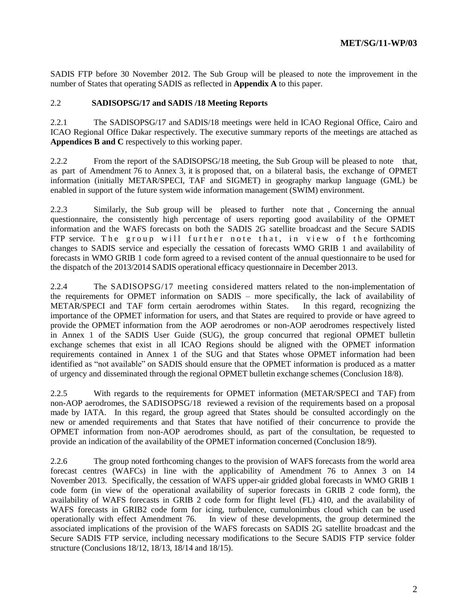SADIS FTP before 30 November 2012. The Sub Group will be pleased to note the improvement in the number of States that operating SADIS as reflected in **Appendix A** to this paper.

### 2.2 **SADISOPSG/17 and SADIS /18 Meeting Reports**

2.2.1 The SADISOPSG/17 and SADIS/18 meetings were held in ICAO Regional Office, Cairo and ICAO Regional Office Dakar respectively. The executive summary reports of the meetings are attached as **Appendices B and C** respectively to this working paper.

2.2.2 From the report of the SADISOPSG/18 meeting, the Sub Group will be pleased to note that, as part of Amendment 76 to Annex 3, it is proposed that, on a bilateral basis, the exchange of OPMET information (initially METAR/SPECI, TAF and SIGMET) in geography markup language (GML) be enabled in support of the future system wide information management (SWIM) environment.

2.2.3 Similarly, the Sub group will be pleased to further note that , Concerning the annual questionnaire, the consistently high percentage of users reporting good availability of the OPMET information and the WAFS forecasts on both the SADIS 2G satellite broadcast and the Secure SADIS FTP service. The group will further note that, in view of the forthcoming changes to SADIS service and especially the cessation of forecasts WMO GRIB 1 and availability of forecasts in WMO GRIB 1 code form agreed to a revised content of the annual questionnaire to be used for the dispatch of the 2013/2014 SADIS operational efficacy questionnaire in December 2013.

2.2.4 The SADISOPSG/17 meeting considered matters related to the non-implementation of the requirements for OPMET information on SADIS – more specifically, the lack of availability of METAR/SPECI and TAF form certain aerodromes within States. In this regard, recognizing the importance of the OPMET information for users, and that States are required to provide or have agreed to provide the OPMET information from the AOP aerodromes or non-AOP aerodromes respectively listed in Annex 1 of the SADIS User Guide (SUG), the group concurred that regional OPMET bulletin exchange schemes that exist in all ICAO Regions should be aligned with the OPMET information requirements contained in Annex 1 of the SUG and that States whose OPMET information had been identified as "not available" on SADIS should ensure that the OPMET information is produced as a matter of urgency and disseminated through the regional OPMET bulletin exchange schemes (Conclusion 18/8).

2.2.5 With regards to the requirements for OPMET information (METAR/SPECI and TAF) from non-AOP aerodromes, the SADISOPSG/18 reviewed a revision of the requirements based on a proposal made by IATA. In this regard, the group agreed that States should be consulted accordingly on the new or amended requirements and that States that have notified of their concurrence to provide the OPMET information from non-AOP aerodromes should, as part of the consultation, be requested to provide an indication of the availability of the OPMET information concerned (Conclusion 18/9).

2.2.6 The group noted forthcoming changes to the provision of WAFS forecasts from the world area forecast centres (WAFCs) in line with the applicability of Amendment 76 to Annex 3 on 14 November 2013. Specifically, the cessation of WAFS upper-air gridded global forecasts in WMO GRIB 1 code form (in view of the operational availability of superior forecasts in GRIB 2 code form), the availability of WAFS forecasts in GRIB 2 code form for flight level (FL) 410, and the availability of WAFS forecasts in GRIB2 code form for icing, turbulence, cumulonimbus cloud which can be used operationally with effect Amendment 76. In view of these developments, the group determined the associated implications of the provision of the WAFS forecasts on SADIS 2G satellite broadcast and the Secure SADIS FTP service, including necessary modifications to the Secure SADIS FTP service folder structure (Conclusions 18/12, 18/13, 18/14 and 18/15).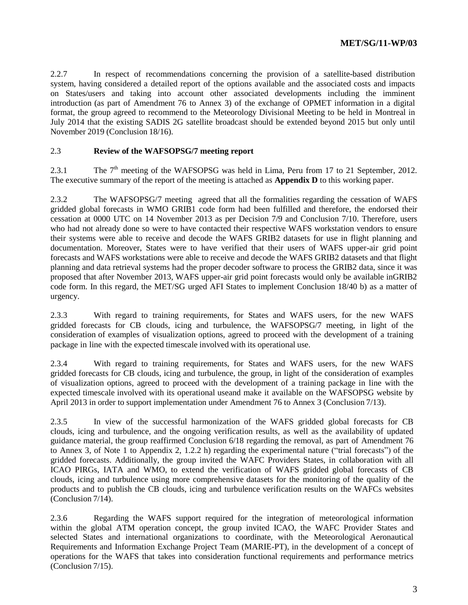2.2.7 In respect of recommendations concerning the provision of a satellite-based distribution system, having considered a detailed report of the options available and the associated costs and impacts on States/users and taking into account other associated developments including the imminent introduction (as part of Amendment 76 to Annex 3) of the exchange of OPMET information in a digital format, the group agreed to recommend to the Meteorology Divisional Meeting to be held in Montreal in July 2014 that the existing SADIS 2G satellite broadcast should be extended beyond 2015 but only until November 2019 (Conclusion 18/16).

### 2.3 **Review of the WAFSOPSG/7 meeting report**

2.3.1 The  $7<sup>th</sup>$  meeting of the WAFSOPSG was held in Lima, Peru from 17 to 21 September, 2012. The executive summary of the report of the meeting is attached as **Appendix D** to this working paper.

2.3.2 The WAFSOPSG/7 meeting agreed that all the formalities regarding the cessation of WAFS gridded global forecasts in WMO GRIB1 code form had been fulfilled and therefore, the endorsed their cessation at 0000 UTC on 14 November 2013 as per Decision 7/9 and Conclusion 7/10. Therefore, users who had not already done so were to have contacted their respective WAFS workstation vendors to ensure their systems were able to receive and decode the WAFS GRIB2 datasets for use in flight planning and documentation. Moreover, States were to have verified that their users of WAFS upper-air grid point forecasts and WAFS workstations were able to receive and decode the WAFS GRIB2 datasets and that flight planning and data retrieval systems had the proper decoder software to process the GRIB2 data, since it was proposed that after November 2013, WAFS upper-air grid point forecasts would only be available inGRIB2 code form. In this regard, the MET/SG urged AFI States to implement Conclusion 18/40 b) as a matter of urgency.

2.3.3 With regard to training requirements, for States and WAFS users, for the new WAFS gridded forecasts for CB clouds, icing and turbulence, the WAFSOPSG/7 meeting, in light of the consideration of examples of visualization options, agreed to proceed with the development of a training package in line with the expected timescale involved with its operational use.

2.3.4 With regard to training requirements, for States and WAFS users, for the new WAFS gridded forecasts for CB clouds, icing and turbulence, the group, in light of the consideration of examples of visualization options, agreed to proceed with the development of a training package in line with the expected timescale involved with its operational useand make it available on the WAFSOPSG website by April 2013 in order to support implementation under Amendment 76 to Annex 3 (Conclusion 7/13).

2.3.5 In view of the successful harmonization of the WAFS gridded global forecasts for CB clouds, icing and turbulence, and the ongoing verification results, as well as the availability of updated guidance material, the group reaffirmed Conclusion 6/18 regarding the removal, as part of Amendment 76 to Annex 3, of Note 1 to Appendix 2, 1.2.2 h) regarding the experimental nature ("trial forecasts") of the gridded forecasts. Additionally, the group invited the WAFC Providers States, in collaboration with all ICAO PIRGs, IATA and WMO, to extend the verification of WAFS gridded global forecasts of CB clouds, icing and turbulence using more comprehensive datasets for the monitoring of the quality of the products and to publish the CB clouds, icing and turbulence verification results on the WAFCs websites (Conclusion 7/14).

2.3.6 Regarding the WAFS support required for the integration of meteorological information within the global ATM operation concept, the group invited ICAO, the WAFC Provider States and selected States and international organizations to coordinate, with the Meteorological Aeronautical Requirements and Information Exchange Project Team (MARIE-PT), in the development of a concept of operations for the WAFS that takes into consideration functional requirements and performance metrics (Conclusion 7/15).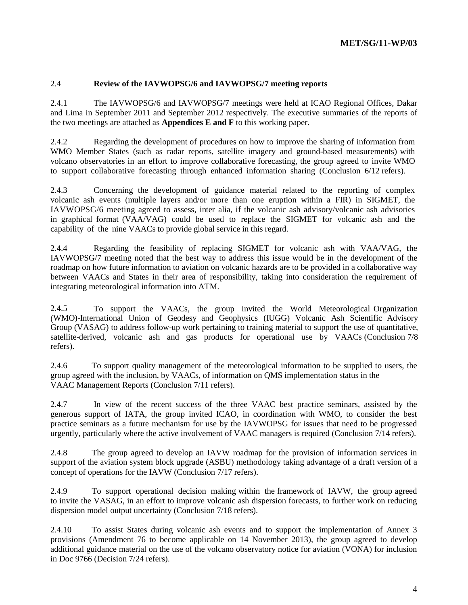### 2.4 **Review of the IAVWOPSG/6 and IAVWOPSG/7 meeting reports**

2.4.1 The IAVWOPSG/6 and IAVWOPSG/7 meetings were held at ICAO Regional Offices, Dakar and Lima in September 2011 and September 2012 respectively. The executive summaries of the reports of the two meetings are attached as **Appendices E and F** to this working paper.

2.4.2 Regarding the development of procedures on how to improve the sharing of information from WMO Member States (such as radar reports, satellite imagery and ground-based measurements) with volcano observatories in an effort to improve collaborative forecasting, the group agreed to invite WMO to support collaborative forecasting through enhanced information sharing (Conclusion 6/12 refers).

2.4.3 Concerning the development of guidance material related to the reporting of complex volcanic ash events (multiple layers and/or more than one eruption within a FIR) in SIGMET, the IAVWOPSG/6 meeting agreed to assess, inter alia, if the volcanic ash advisory/volcanic ash advisories in graphical format (VAA/VAG) could be used to replace the SIGMET for volcanic ash and the capability of the nine VAACs to provide global service in this regard.

2.4.4 Regarding the feasibility of replacing SIGMET for volcanic ash with VAA/VAG, the IAVWOPSG/7 meeting noted that the best way to address this issue would be in the development of the roadmap on how future information to aviation on volcanic hazards are to be provided in a collaborative way between VAACs and States in their area of responsibility, taking into consideration the requirement of integrating meteorological information into ATM.

2.4.5 To support the VAACs, the group invited the World Meteorological Organization (WMO)-International Union of Geodesy and Geophysics (IUGG) Volcanic Ash Scientific Advisory Group (VASAG) to address follow-up work pertaining to training material to support the use of quantitative, satellite-derived, volcanic ash and gas products for operational use by VAACs (Conclusion 7/8 refers).

2.4.6 To support quality management of the meteorological information to be supplied to users, the group agreed with the inclusion, by VAACs, of information on QMS implementation status in the VAAC Management Reports (Conclusion 7/11 refers).

2.4.7 In view of the recent success of the three VAAC best practice seminars, assisted by the generous support of IATA, the group invited ICAO, in coordination with WMO, to consider the best practice seminars as a future mechanism for use by the IAVWOPSG for issues that need to be progressed urgently, particularly where the active involvement of VAAC managers is required (Conclusion 7/14 refers).

2.4.8 The group agreed to develop an IAVW roadmap for the provision of information services in support of the aviation system block upgrade (ASBU) methodology taking advantage of a draft version of a concept of operations for the IAVW (Conclusion 7/17 refers).

2.4.9 To support operational decision making within the framework of IAVW, the group agreed to invite the VASAG, in an effort to improve volcanic ash dispersion forecasts, to further work on reducing dispersion model output uncertainty (Conclusion 7/18 refers).

2.4.10 To assist States during volcanic ash events and to support the implementation of Annex 3 provisions (Amendment 76 to become applicable on 14 November 2013), the group agreed to develop additional guidance material on the use of the volcano observatory notice for aviation (VONA) for inclusion in Doc 9766 (Decision 7/24 refers).